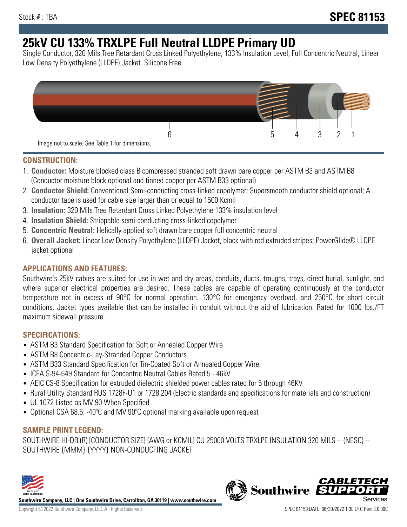# **25kV CU 133% TRXLPE Full Neutral LLDPE Primary UD**

Single Conductor, 320 Mils Tree Retardant Cross Linked Polyethylene, 133% Insulation Level, Full Concentric Neutral, Linear Low Density Polyethylene (LLDPE) Jacket. Silicone Free



## **CONSTRUCTION:**

- 1. **Conductor:** Moisture blocked class B compressed stranded soft drawn bare copper per ASTM B3 and ASTM B8 (Conductor moisture block optional and tinned copper per ASTM B33 optional)
- 2. **Conductor Shield:** Conventional Semi-conducting cross-linked copolymer; Supersmooth conductor shield optional; A conductor tape is used for cable size larger than or equal to 1500 Kcmil
- 3. **Insulation:** 320 Mils Tree Retardant Cross Linked Polyethylene 133% insulation level
- 4. **Insulation Shield:** Strippable semi-conducting cross-linked copolymer
- 5. **Concentric Neutral:** Helically applied soft drawn bare copper full concentric neutral
- 6. **Overall Jacket:** Linear Low Density Polyethylene (LLDPE) Jacket, black with red extruded stripes; PowerGlide® LLDPE jacket optional

# **APPLICATIONS AND FEATURES:**

Southwire's 25kV cables are suited for use in wet and dry areas, conduits, ducts, troughs, trays, direct burial, sunlight, and where superior electrical properties are desired. These cables are capable of operating continuously at the conductor temperature not in excess of 90°C for normal operation. 130°C for emergency overload, and 250°C for short circuit conditions. Jacket types available that can be installed in conduit without the aid of lubrication. Rated for 1000 lbs./FT maximum sidewall pressure.

# **SPECIFICATIONS:**

- ASTM B3 Standard Specification for Soft or Annealed Copper Wire
- ASTM B8 Concentric-Lay-Stranded Copper Conductors
- ASTM B33 Standard Specification for Tin-Coated Soft or Annealed Copper Wire
- ICEA S-94-649 Standard for Concentric Neutral Cables Rated 5 46kV
- AEIC CS-8 Specification for extruded dielectric shielded power cables rated for 5 through 46KV
- Rural Utility Standard RUS 1728F-U1 or 1728.204 (Electric standards and specifications for materials and construction)
- UL 1072 Listed as MV 90 When Specified
- Optional CSA 68.5: -40ºC and MV 90ºC optional marking available upon request

# **SAMPLE PRINT LEGEND:**

SOUTHWIRE HI-DRI(R) [CONDUCTOR SIZE] [AWG or KCMIL] CU 25000 VOLTS TRXLPE INSULATION 320 MILS -- (NESC) -- SOUTHWIRE {MMM} {YYYY} NON-CONDUCTING JACKET



**Southwire Company, LLC | One Southwire Drive, Carrollton, GA 30119 | www.southwire.com**